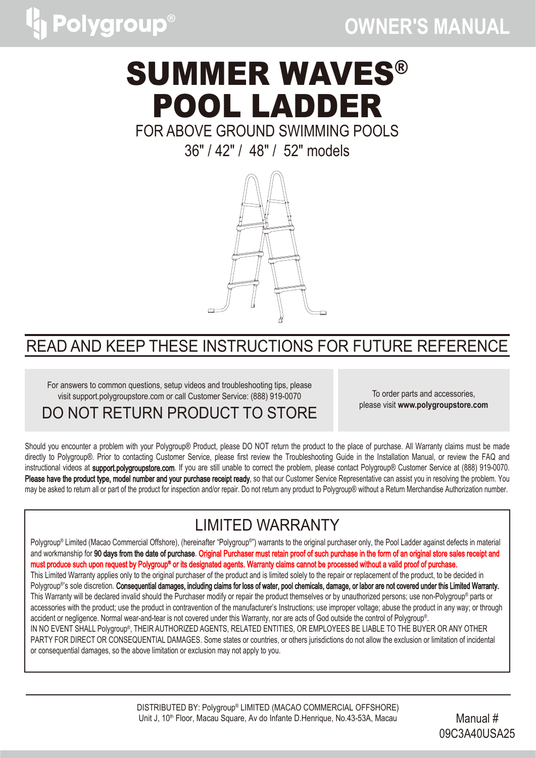

# SUMMER WAVES® POOL LADDER

### FOR ABOVE GROUND SWIMMING POOLS

36" / 42" / 48" / 52" models



### READ AND KEEP THESE INSTRUCTIONS FOR FUTURE REFERENCE

For answers to common questions, setup videos and troubleshooting tips, please visit support.polygroupstore.com or call Customer Service: (888) 919-0070

DO NOT RETURN PRODUCT TO STORE

To order parts and accessories, please visit **www.polygroupstore.com**

Should you encounter a problem with your Polygroup® Product, please DO NOT return the product to the place of purchase. All Warranty claims must be made directly to Polygroup®. Prior to contacting Customer Service, please first review the Troubleshooting Guide in the Installation Manual, or review the FAQ and instructional videos at support.polygroupstore.com. If you are still unable to correct the problem, please contact Polygroup® Customer Service at (888) 919-0070. Please have the product type, model number and your purchase receipt ready, so that our Customer Service Representative can assist you in resolving the problem. You may be asked to return all or part of the product for inspection and/or repair. Do not return any product to Polygroup® without a Return Merchandise Authorization number.

### LIMITED WARRANTY

Polygroup® Limited (Macao Commercial Offshore), (hereinafter "Polygroup® ") warrants to the original purchaser only, the Pool Ladder against defects in material and workmanship for 90 days from the date of purchase. Original Purchaser must retain proof of such purchase in the form of an original store sales receipt and must produce such upon request by Polygroup® or its designated agents. Warranty claims cannot be processed without a valid proof of purchase. This Limited Warranty applies only to the original purchaser of the product and is limited solely to the repair or replacement of the product, to be decided in Polygroup®'s sole discretion. **Consequential damages, including claims for loss of water, pool chemicals, damage, or labor are not covered under this Limited Warranty.** This Warranty will be declared invalid should the Purchaser modify or repair the product themselves or by unauthorized persons; use non-Polygroup® parts or accessories with the product; use the product in contravention of the manufacturer's Instructions; use improper voltage; abuse the product in any way; or through accident or negligence. Normal wear-and-tear is not covered under this Warranty, nor are acts of God outside the control of Polygroup® . IN NO EVENT SHALL Polygroup® , THEIR AUTHORIZED AGENTS, RELATED ENTITIES, OR EMPLOYEES BE LIABLE TO THE BUYER OR ANY OTHER PARTY FOR DIRECT OR CONSEQUENTIAL DAMAGES. Some states or countries, or others jurisdictions do not allow the exclusion or limitation of incidental or consequential damages, so the above limitation or exclusion may not apply to you.

> DISTRIBUTED BY: Polygroup® LIMITED (MACAO COMMERCIAL OFFSHORE) Unit J, 10<sup>th</sup> Floor, Macau Square, Av do Infante D.Henrique, No.43-53A, Macau Manual #

09C3A40USA25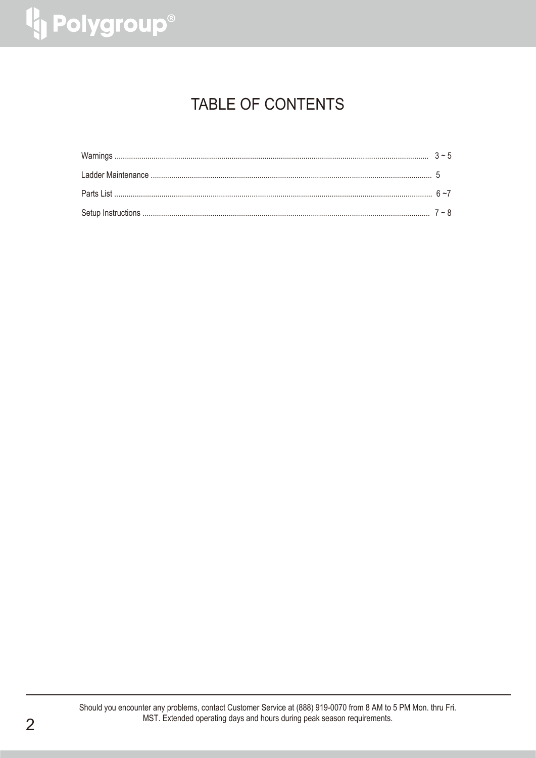# <sup>1</sup> Polygroup®

### **TABLE OF CONTENTS**

Should you encounter any problems, contact Customer Service at (888) 919-0070 from 8 AM to 5 PM Mon. thru Fri. MST. Extended operating days and hours during peak season requirements.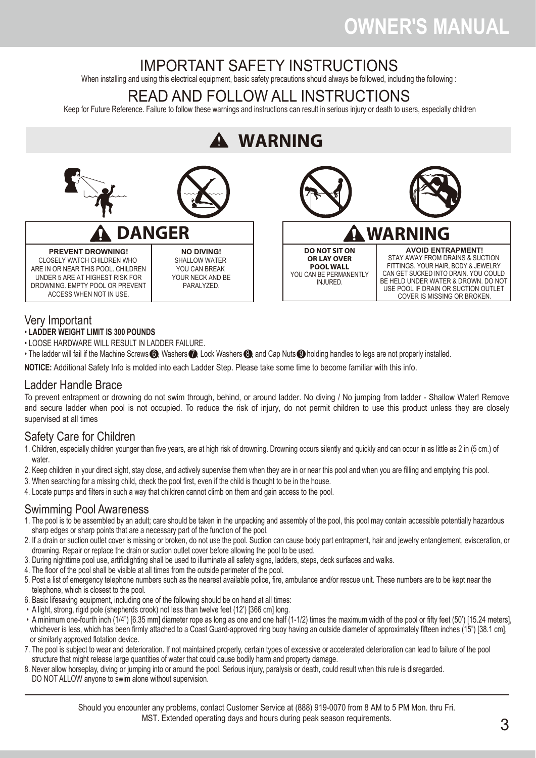### IMPORTANT SAFETY INSTRUCTIONS

When installing and using this electrical equipment, basic safety precautions should always be followed, including the following :

### READ AND FOLLOW ALL INSTRUCTIONS

Keep for Future Reference. Failure to follow these warnings and instructions can result in serious injury or death to users, especially children

#### **WARNING DO NOT SIT ON OR LAY OVER POOL WALL** YOU CAN BE PERMANENTLY INJURED. **WARNING AVOID ENTRAPMENT!** STAY AWAY FROM DRAINS & SUCTION FITTINGS. YOUR HAIR, BODY & JEWELRY CAN GET SUCKED INTO DRAIN. YOU COULD BE HELD UNDER WATER & DROWN. DO NOT USE POOL IF DRAIN OR SUCTION OUTLET COVER IS MISSING OR BROKEN. **DANGER PREVENT DROWNING!** CLOSELY WATCH CHILDREN WHO ARE IN OR NEAR THIS POOL. CHILDREN UNDER 5 ARE AT HIGHEST RISK FOR DROWNING. EMPTY POOL OR PREVENT ACCESS WHEN NOT IN USE. **NO DIVING!** SHALLOW WATER YOU CAN BREAK YOUR NECK AND BE PARALYZED.

### Very Important

- **LADDER WEIGHT LIMIT IS 300 POUNDS**
- LOOSE HARDWARE WILL RESULT IN LADDER FAILURE.
- The ladder will fail if the Machine Screws  $\bigcirc$ , Washers  $\bigcirc$ , Lock Washers  $\bigcirc$ , and Cap Nuts  $\bigcirc$  holding handles to legs are not properly installed.

**NOTICE:** Additional Safety Info is molded into each Ladder Step. Please take some time to become familiar with this info.

### Ladder Handle Brace

To prevent entrapment or drowning do not swim through, behind, or around ladder. No diving / No jumping from ladder - Shallow Water! Remove and secure ladder when pool is not occupied. To reduce the risk of injury, do not permit children to use this product unless they are closely supervised at all times

### Safety Care for Children

- 1. Children, especially children younger than five years, are at high risk of drowning. Drowning occurs silently and quickly and can occur in as little as 2 in (5 cm.) of water
- 2. Keep children in your direct sight, stay close, and actively supervise them when they are in or near this pool and when you are filling and emptying this pool.
- 3. When searching for a missing child, check the pool first, even if the child is thought to be in the house.
- 4. Locate pumps and filters in such a way that children cannot climb on them and gain access to the pool.

### Swimming Pool Awareness

- 1. The pool is to be assembled by an adult; care should be taken in the unpacking and assembly of the pool, this pool may contain accessible potentially hazardous sharp edges or sharp points that are a necessary part of the function of the pool.
- 2. If a drain or suction outlet cover is missing or broken, do not use the pool. Suction can cause body part entrapment, hair and jewelry entanglement, evisceration, or drowning. Repair or replace the drain or suction outlet cover before allowing the pool to be used.
- 3. During nighttime pool use, artificlighting shall be used to illuminate all safety signs, ladders, steps, deck surfaces and walks.
- 4. The floor of the pool shall be visible at all times from the outside perimeter of the pool.
- 5. Post a list of emergency telephone numbers such as the nearest available police, fire, ambulance and/or rescue unit. These numbers are to be kept near the telephone, which is closest to the pool.
- 6. Basic lifesaving equipment, including one of the following should be on hand at all times:
- A light, strong, rigid pole (shepherds crook) not less than twelve feet (12') [366 cm] long.
- A minimum one-fourth inch (1/4") [6.35 mm] diameter rope as long as one and one half (1-1/2) times the maximum width of the pool or fifty feet (50') [15.24 meters], whichever is less, which has been firmly attached to a Coast Guard-approved ring buoy having an outside diameter of approximately fifteen inches (15") [38.1 cm]. or similarly approved flotation device.
- 7. The pool is subject to wear and deterioration. If not maintained properly, certain types of excessive or accelerated deterioration can lead to failure of the pool structure that might release large quantities of water that could cause bodily harm and property damage.
- 8. Never allow horseplay, diving or jumping into or around the pool. Serious injury, paralysis or death, could result when this rule is disregarded. DO NOT ALLOW anyone to swim alone without supervision.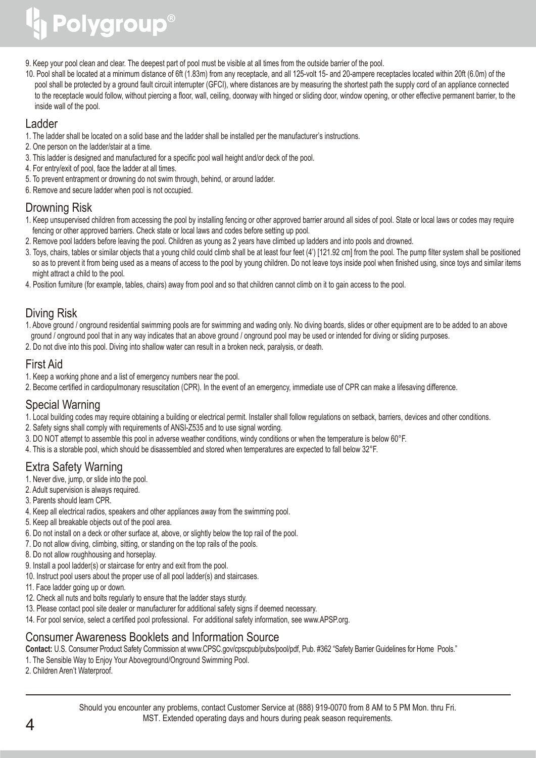# Polygroup®

9. Keep your pool clean and clear. The deepest part of pool must be visible at all times from the outside barrier of the pool.

10. Pool shall be located at a minimum distance of 6ft (1.83m) from any receptacle, and all 125-volt 15- and 20-ampere receptacles located within 20ft (6.0m) of the pool shall be protected by a ground fault circuit interrupter (GFCI), where distances are by measuring the shortest path the supply cord of an appliance connected to the receptacle would follow, without piercing a floor, wall, ceiling, doorway with hinged or sliding door, window opening, or other effective permanent barrier, to the inside wall of the pool.

### Ladder

- 1. The ladder shall be located on a solid base and the ladder shall be installed per the manufacturer's instructions.
- 2. One person on the ladder/stair at a time.
- 3. This ladder is designed and manufactured for a specific pool wall height and/or deck of the pool.
- 4. For entry/exit of pool, face the ladder at all times.
- 5. To prevent entrapment or drowning do not swim through, behind, or around ladder.
- 6. Remove and secure ladder when pool is not occupied.

### Drowning Risk

- 1. Keep unsupervised children from accessing the pool by installing fencing or other approved barrier around all sides of pool. State or local laws or codes may require fencing or other approved barriers. Check state or local laws and codes before setting up pool.
- 2. Remove pool ladders before leaving the pool. Children as young as 2 years have climbed up ladders and into pools and drowned.
- 3. Toys, chairs, tables or similar objects that a young child could climb shall be at least four feet (4') [121.92 cm] from the pool. The pump filter system shall be positioned so as to prevent it from being used as a means of access to the pool by young children. Do not leave toys inside pool when finished using, since toys and similar items might attract a child to the pool.
- 4. Position furniture (for example, tables, chairs) away from pool and so that children cannot climb on it to gain access to the pool.

### Diving Risk

- 1. Above ground / onground residential swimming pools are for swimming and wading only. No diving boards, slides or other equipment are to be added to an above ground / onground pool that in any way indicates that an above ground / onground pool may be used or intended for diving or sliding purposes.
- 2. Do not dive into this pool. Diving into shallow water can result in a broken neck, paralysis, or death.

### First Aid

- 1. Keep a working phone and a list of emergency numbers near the pool.
- 2. Become certified in cardiopulmonary resuscitation (CPR). In the event of an emergency, immediate use of CPR can make a lifesaving difference.

### Special Warning

- 1. Local building codes may require obtaining a building or electrical permit. Installer shall follow regulations on setback, barriers, devices and other conditions.
- 2. Safety signs shall comply with requirements of ANSI-Z535 and to use signal wording.
- 3. DO NOT attempt to assemble this pool in adverse weather conditions, windy conditions or when the temperature is below 60°F.
- 4. This is a storable pool, which should be disassembled and stored when temperatures are expected to fall below 32°F.

### Extra Safety Warning

- 1. Never dive, jump, or slide into the pool.
- 2. Adult supervision is always required.
- 3. Parents should learn CPR.
- 4. Keep all electrical radios, speakers and other appliances away from the swimming pool.
- 5. Keep all breakable objects out of the pool area.
- 6. Do not install on a deck or other surface at, above, or slightly below the top rail of the pool.
- 7. Do not allow diving, climbing, sitting, or standing on the top rails of the pools.
- 8. Do not allow roughhousing and horseplay.
- 9. Install a pool ladder(s) or staircase for entry and exit from the pool.
- 10. Instruct pool users about the proper use of all pool ladder(s) and staircases.
- 11. Face ladder going up or down.
- 12. Check all nuts and bolts regularly to ensure that the ladder stays sturdy.
- 13. Please contact pool site dealer or manufacturer for additional safety signs if deemed necessary.
- 14. For pool service, select a certified pool professional. For additional safety information, see www.APSP.org.

### Consumer Awareness Booklets and Information Source

**Contact:** U.S. Consumer Product Safety Commission at www.CPSC.gov/cpscpub/pubs/pool/pdf, Pub. #362 "Safety Barrier Guidelines for Home Pools."

- 1. The Sensible Way to Enjoy Your Aboveground/Onground Swimming Pool.
- 2. Children Aren't Waterproof.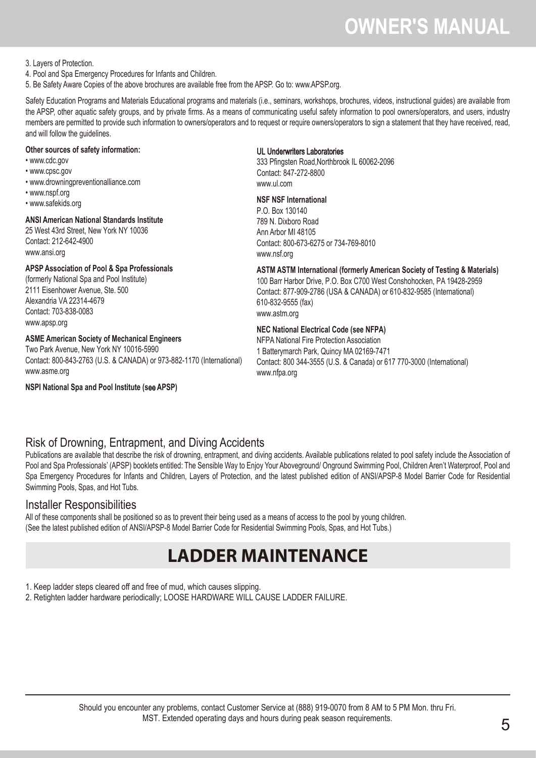3. Layers of Protection.

4. Pool and Spa Emergency Procedures for Infants and Children.

5. Be Safety Aware Copies of the above brochures are available free from the APSP. Go to: www.APSP.org.

Safety Education Programs and Materials Educational programs and materials (i.e., seminars, workshops, brochures, videos, instructional guides) are available from the APSP, other aquatic safety groups, and by private firms. As a means of communicating useful safety information to pool owners/operators, and users, industry members are permitted to provide such information to owners/operators and to request or require owners/operators to sign a statement that they have received, read, and will follow the guidelines.

#### **Other sources of safety information:**

- www.cdc.gov
- www.cpsc.gov
- www.drowningpreventionalliance.com
- www.nspf.org
- www.safekids.org

#### **ANSI American National Standards Institute**

25 West 43rd Street, New York NY 10036 Contact: 212-642-4900 www.ansi.org

#### **APSP Association of Pool & Spa Professionals**

(formerly National Spa and Pool Institute) 2111 Eisenhower Avenue, Ste. 500 Alexandria VA 22314-4679 Contact: 703-838-0083 www.apsp.org

### **ASME American Society of Mechanical Engineers**

Two Park Avenue, New York NY 10016-5990 Contact: 800-843-2763 (U.S. & CANADA) or 973-882-1170 (International) www.asme.org

**NSPI National Spa and Pool Institute (s**ee **APSP)**

#### UL Underwriters Laboratories

333 Pfingsten Road,Northbrook IL 60062-2096 Contact: 847-272-8800 www.ul.com

#### **NSF NSF International**

P.O. Box 130140 789 N. Dixboro Road Ann Arbor MI 48105 Contact: 800-673-6275 or 734-769-8010 www.nsf.org

**ASTM ASTM International (formerly American Society of Testing & Materials)** 100 Barr Harbor Drive, P.O. Box C700 West Conshohocken, PA 19428-2959 Contact: 877-909-2786 (USA & CANADA) or 610-832-9585 (International) 610-832-9555 (fax) www.astm.org

#### **NEC National Electrical Code (see NFPA)**

NFPA National Fire Protection Association 1 Batterymarch Park, Quincy MA 02169-7471 Contact: 800 344-3555 (U.S. & Canada) or 617 770-3000 (International) www.nfpa.org

### Risk of Drowning, Entrapment, and Diving Accidents

Publications are available that describe the risk of drowning, entrapment, and diving accidents. Available publications related to pool safety include the Association of Pool and Spa Professionals' (APSP) booklets entitled: The Sensible Way to Enjoy Your Aboveground/ Onground Swimming Pool, Children Aren't Waterproof, Pool and Spa Emergency Procedures for Infants and Children, Layers of Protection, and the latest published edition of ANSI/APSP-8 Model Barrier Code for Residential Swimming Pools, Spas, and Hot Tubs.

### Installer Responsibilities

All of these components shall be positioned so as to prevent their being used as a means of access to the pool by young children. (See the latest published edition of ANSI/APSP-8 Model Barrier Code for Residential Swimming Pools, Spas, and Hot Tubs.)

### **LADDER MAINTENANCE**

1. Keep ladder steps cleared off and free of mud, which causes slipping.

2. Retighten ladder hardware periodically; LOOSE HARDWARE WILL CAUSE LADDER FAILURE.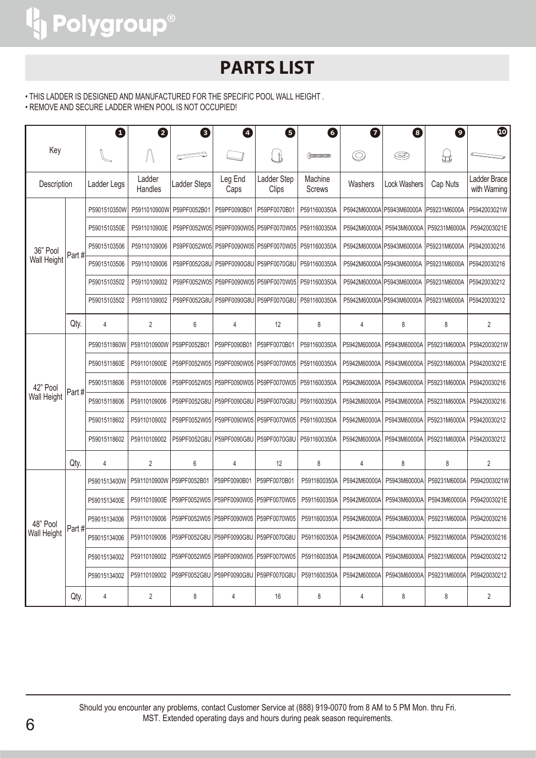### **PARTS LIST**

• THIS LADDER IS DESIGNED AND MANUFACTURED FOR THE SPECIFIC POOL WALL HEIGHT .

• REMOVE AND SECURE LADDER WHEN POOL IS NOT OCCUPIED!

|                         |       | ❶            | 2                 | ❸            | 4                                      | ❺                                          | 6                        | 0              | 0                         | $\boldsymbol{\Theta}$ | $\bf \Phi$                   |
|-------------------------|-------|--------------|-------------------|--------------|----------------------------------------|--------------------------------------------|--------------------------|----------------|---------------------------|-----------------------|------------------------------|
| Key                     |       |              |                   |              |                                        | U                                          |                          | $\circledcirc$ | Ø                         | ₩                     |                              |
| Description             |       | Ladder Legs  | Ladder<br>Handles | Ladder Steps | Leg End<br>Caps                        | Ladder Step<br>Clips                       | Machine<br><b>Screws</b> | Washers        | <b>Lock Washers</b>       | Cap Nuts              | Ladder Brace<br>with Warning |
|                         |       | P5901510350W | P5911010900W      | P59PF0052B01 | P59PF0090B01                           | P59PF0070B01                               | P5911600350A             |                | P5942M60000A P5943M60000A | P59231M6000A          | P5942003021W                 |
|                         |       | P5901510350E | P5911010900E      | P59PF0052W05 |                                        | P59PF0090W05 P59PF0070W05                  | P5911600350A             | P5942M60000A   | P5943M60000A              | P59231M6000A          | P5942003021E                 |
| 36" Pool                |       | P59015103506 | P59110109006      | P59PF0052W05 |                                        | P59PF0090W05 P59PF0070W05                  | P5911600350A             |                | P5942M60000A P5943M60000A | P59231M6000A          | P59420030216                 |
| <b>Wall Height</b>      | Part# | P59015103506 | P59110109006      | P59PF0052G8U | P59PF0090G8U                           | P59PF0070G8U                               | P5911600350A             |                | P5942M60000A P5943M60000A | P59231M6000A          | P59420030216                 |
|                         |       | P59015103502 | P59110109002      | P59PF0052W05 |                                        | P59PF0090W05 P59PF0070W05                  | P5911600350A             |                | P5942M60000A P5943M60000A | P59231M6000A          | P59420030212                 |
|                         |       | P59015103502 | P59110109002      | P59PF0052G8U | P59PF0090G8U                           | P59PF0070G8U                               | P5911600350A             |                | P5942M60000A P5943M60000A | P59231M6000A          | P59420030212                 |
|                         | Qty.  | 4            | $\overline{2}$    | 6            | 4                                      | 12                                         | 8                        | 4              | 8                         | 8                     | $\overline{2}$               |
|                         | Part# | P5901511860W | P5911010900W      | P59PF0052B01 | P59PF0090B01                           | P59PF0070B01                               | P5911600350A             | P5942M60000A   | P5943M60000A              |                       | P59231M6000A   P5942003021W  |
|                         |       | P5901511860E | P5911010900E      | P59PF0052W05 | P59PF0090W05                           | P59PF0070W05                               | P5911600350A             | P5942M60000A   | P5943M60000A              | P59231M6000A          | P5942003021E                 |
| 42" Pool                |       | P59015118606 | P59110109006      |              |                                        | P59PF0052W05   P59PF0090W05   P59PF0070W05 | P5911600350A             | P5942M60000A   | P5943M60000A              | P59231M6000A          | P59420030216                 |
| <b>Wall Height</b>      |       | P59015118606 | P59110109006      | P59PF0052G8U | P59PF0090G8U                           | P59PF0070G8U                               | P5911600350A             | P5942M60000A   | P5943M60000A              | P59231M6000A          | P59420030216                 |
|                         |       | P59015118602 | P59110109002      |              |                                        | P59PF0052W05   P59PF0090W05   P59PF0070W05 | P5911600350A             | P5942M60000A   | P5943M60000A              | P59231M6000A          | P59420030212                 |
|                         |       | P59015118602 | P59110109002      | P59PF0052G8U | P59PF0090G8U                           | P59PF0070G8U                               | P5911600350A             | P5942M60000A   | P5943M60000A              | P59231M6000A          | P59420030212                 |
|                         | Qty.  | 4            | $\overline{2}$    | 6            | 4                                      | 12                                         | 8                        | 4              | 8                         | 8                     | 2                            |
|                         |       | P5901513400W | P5911010900W      | P59PF0052B01 | P59PF0090B01                           | P59PF0070B01                               | P5911600350A             | P5942M60000A   | P5943M60000A              | P59231M6000A          | P5942003021W                 |
|                         |       | P5901513400E | P5911010900E      | P59PF0052W05 | P59PF0090W05                           | P59PF0070W05                               | P5911600350A             | P5942M60000A   | P5943M60000A              | P5943M60000A          | P5942003021E                 |
| 48" Pool<br>Wall Height |       | P59015134006 | P59110109006      | P59PF0052W05 | P59PF0090W05                           | P59PF0070W05                               | P5911600350A             | P5942M60000A   | P5943M60000A              | P59231M6000A          | P59420030216                 |
|                         | Part# | P59015134006 | P59110109006      |              | P59PF0052G8U P59PF0090G8U P59PF0070G8U |                                            | P5911600350A             | P5942M60000A   | P5943M60000A              | P59231M6000A          | P59420030216                 |
|                         |       | P59015134002 | P59110109002      |              | P59PF0052W05 P59PF0090W05              | P59PF0070W05                               | P5911600350A             | P5942M60000A   | P5943M60000A              | P59231M6000A          | P59420030212                 |
|                         |       | P59015134002 | P59110109002      |              | P59PF0052G8U P59PF0090G8U P59PF0070G8U |                                            | P5911600350A             | P5942M60000A   | P5943M60000A              | P59231M6000A          | P59420030212                 |
|                         | Qty.  | 4            | 2                 | 8            | 4                                      | 16                                         | 8                        | 4              | 8                         | 8                     | 2                            |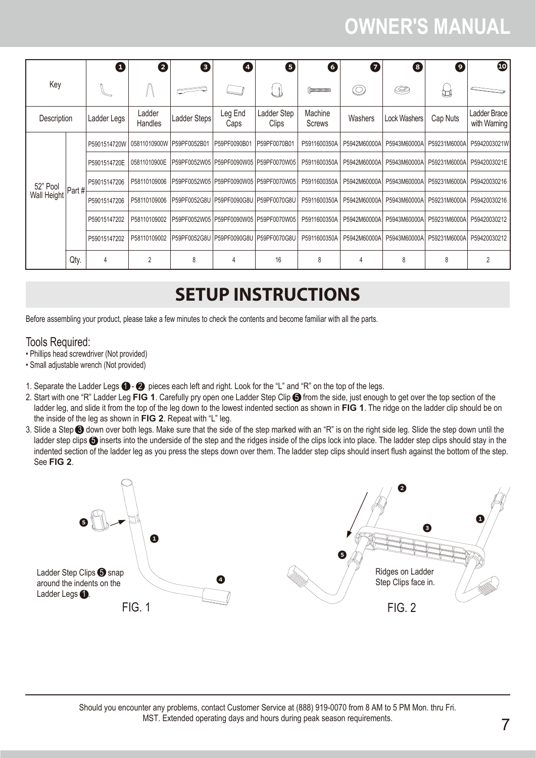|             |                | $\mathbf 0$  | 2                 | 8                                         | đ               | 6                                          | 6                          | 0              | 8             | Θ            | $\bf \Phi$                   |  |  |  |              |              |  |  |                                           |              |              |              |              |              |
|-------------|----------------|--------------|-------------------|-------------------------------------------|-----------------|--------------------------------------------|----------------------------|----------------|---------------|--------------|------------------------------|--|--|--|--------------|--------------|--|--|-------------------------------------------|--------------|--------------|--------------|--------------|--------------|
| Key         |                |              |                   |                                           |                 |                                            | <b>CONTINUES CONTINUES</b> | $\circledcirc$ | ©             | U            |                              |  |  |  |              |              |  |  |                                           |              |              |              |              |              |
| Description |                | Ladder Legs  | Ladder<br>Handles | Ladder Steps                              | Leg End<br>Caps | Ladder Step<br>Clips                       | Machine<br>Screws          | Washers        | Lock Washers  | Cap Nuts     | Ladder Brace<br>with Warning |  |  |  |              |              |  |  |                                           |              |              |              |              |              |
|             | Part # $\vert$ | P5901514720W | 05811010900W      | P59PF0052B01                              | P59PF0090B01    | P59PF0070B01                               | P5911600350A               | P5942M60000A   | P5943M60000A  | P59231M6000A | P5942003021W                 |  |  |  |              |              |  |  |                                           |              |              |              |              |              |
|             |                | P5901514720E | 05811010900E      |                                           |                 | P59PF0052W05   P59PF0090W05   P59PF0070W05 | P5911600350A               | P5942M60000A   | P5943M60000A  | P59231M6000A | P5942003021E                 |  |  |  |              |              |  |  |                                           |              |              |              |              |              |
| 52" Pool    |                | P59015147206 | P58110109006      |                                           |                 | P59PF0052W05 P59PF0090W05 P59PF0070W05     | P5911600350A               | P5942M60000A   | P5943M60000AI | P59231M6000A | P59420030216                 |  |  |  |              |              |  |  |                                           |              |              |              |              |              |
| Wall Height |                | P59015147206 | P58110109006      | IP59PF0052G8U IP59PF0090G8U IP59PF0070G8U |                 |                                            | P5911600350A               | P5942M60000A   | P5943M60000A  | P59231M6000A | P59420030216                 |  |  |  |              |              |  |  |                                           |              |              |              |              |              |
|             |                |              |                   |                                           |                 |                                            |                            |                |               |              |                              |  |  |  | P59015147202 | P58110109002 |  |  | IP59PF0052W05 IP59PF0090W05 IP59PF0070W05 | P5911600350A | P5942M60000A | P5943M60000A | P59231M6000A | P59420030212 |
|             |                | P59015147202 | P58110109002      |                                           |                 |                                            | P5911600350A               | P5942M60000A   | P5943M60000A  | P59231M6000A | P59420030212                 |  |  |  |              |              |  |  |                                           |              |              |              |              |              |
|             | Qty.           | 4            | $\overline{2}$    | 8                                         | 4               | 16                                         | 8                          | 4              | 8             | 8            | 2                            |  |  |  |              |              |  |  |                                           |              |              |              |              |              |

### **SETUP INSTRUCTIONS**

Before assembling your product, please take a few minutes to check the contents and become familiar with all the parts.

### Tools Required:

- Phillips head screwdriver (Not provided)
- Small adjustable wrench (Not provided)
- 1. Separate the Ladder Legs  $\bigodot \bigodot$  pieces each left and right. Look for the "L" and "R" on the top of the legs.
- 2. Start with one "R" Ladder Leg FIG 1. Carefully pry open one Ladder Step Clip  $\bigoplus$  from the side, just enough to get over the top section of the ladder leg, and slide it from the top of the leg down to the lowest indented section as shown in **FIG 1**. The ridge on the ladder clip should be on the inside of the leg as shown in **FIG 2**. Repeat with "L" leg.
- 3. Slide a Step <sup>3</sup> down over both legs. Make sure that the side of the step marked with an "R" is on the right side leg. Slide the step down until the ladder step clips  $\bigcirc$  inserts into the underside of the step and the ridges inside of the clips lock into place. The ladder step clips should stay in the indented section of the ladder leg as you press the steps down over them. The ladder step clips should insert flush against the bottom of the step. See **FIG 2**.



Should you encounter any problems, contact Customer Service at (888) 919-0070 from 8 AM to 5 PM Mon. thru Fri. MST. Extended operating days and hours during peak season requirements.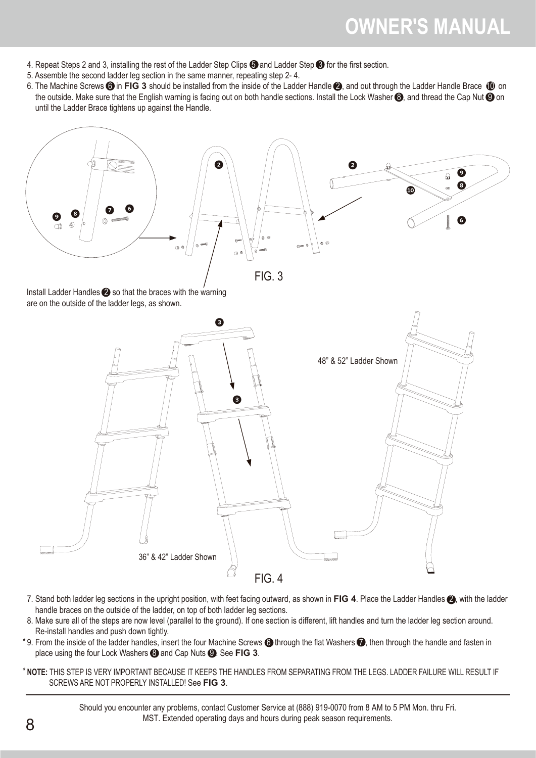- 4. Repeat Steps 2 and 3, installing the rest of the Ladder Step Clips  $\bigodot$  and Ladder Step  $\bigodot$  for the first section.
- 5. Assemble the second ladder leg section in the same manner, repeating step 2- 4.
- 6. The Machine Screws **6** in FIG 3 should be installed from the inside of the Ladder Handle 2, and out through the Ladder Handle Brace 10 on the outside. Make sure that the English warning is facing out on both handle sections. Install the Lock Washer  $\bigcirc$  and thread the Cap Nut  $\bigcirc$  on until the Ladder Brace tightens up against the Handle.



Install Ladder Handles  $\bigcirc$  so that the braces with the warning are on the outside of the ladder legs, as shown.



- 7. Stand both ladder leg sections in the upright position, with feet facing outward, as shown in **FIG 4**. Place the Ladder Handles 2 , with the ladder handle braces on the outside of the ladder, on top of both ladder leg sections.
- 8. Make sure all of the steps are now level (parallel to the ground). If one section is different, lift handles and turn the ladder leg section around. Re-install handles and push down tightly.
- \*9. From the inside of the ladder handles, insert the four Machine Screws  $\bigcirc$  through the flat Washers  $\bigcirc$ , then through the handle and fasten in place using the four Lock Washers  $\bigodot$  and Cap Nuts  $\bigodot$ . See FIG 3.
- \* **NOTE:** THIS STEP IS VERY IMPORTANT BECAUSE IT KEEPS THE HANDLES FROM SEPARATING FROM THE LEGS. LADDER FAILURE WILL RESULT IF SCREWS ARE NOT PROPERLY INSTALLED! See **FIG 3**.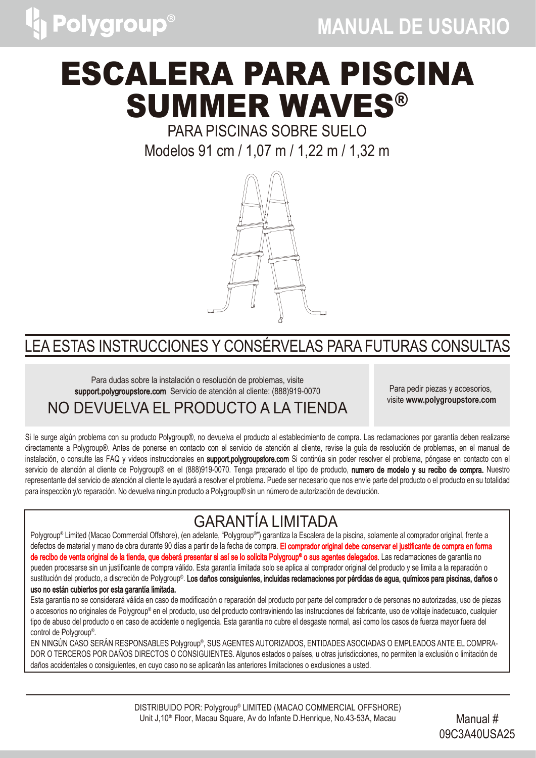

# ESCALERA PARA PISCINA SUMMER WAVES®

PARA PISCINAS SOBRE SUELO Modelos 91 cm / 1,07 m / 1,22 m / 1,32 m



### LEA ESTAS INSTRUCCIONES Y CONSÉRVELAS PARA FUTURAS CONSULTAS

Para dudas sobre la instalación o resolución de problemas, visite support.polygroupstore.comServicio de atención al cliente: (888)919-0070 NO DEVUELVA EL PRODUCTO A LA TIENDA

Para pedir piezas y accesorios, visite **www.polygroupstore.com**

Si le surge algún problema con su producto Polygroup®, no devuelva el producto al establecimiento de compra. Las reclamaciones por garantía deben realizarse directamente a Polygroup®. Antes de ponerse en contacto con el servicio de atención al cliente, revise la guía de resolución de problemas, en el manual de instalación, o consulte las FAQ y videos instruccionales en support.polygroupstore.com Si continúa sin poder resolver el problema, póngase en contacto con el servicio de atención al cliente de Polygroup® en el (888)919-0070. Tenga preparado el tipo de producto, numero de modelo y su recibo de compra. Nuestro representante del servicio de atención al cliente le ayudará a resolver el problema. Puede ser necesario que nos envíe parte del producto o el producto en su totalidad para inspección y/o reparación. No devuelva ningún producto a Polygroup® sin un número de autorización de devolución.

### GARANTÍA LIMITADA

Polygroup® Limited (Macao Commercial Offshore), (en adelante, "Polygroup®") garantiza la Escalera de la piscina, solamente al comprador original, frente a defectos de material y mano de obra durante 90 días a partir de la fecha de compra. El comprador original debe conservar el justificante de compra en forma **de recibo de venta original de la tienda, que deberá presentar si así se lo solicita Polygroup® o sus agentes delegados.** Las reclamaciones de garantía no pueden procesarse sin un justificante de compra válido. Esta garantía limitada solo se aplica al comprador original del producto y se limita a la reparación o sustitución del producto, a discreción de Polygroup®. **Los daños consiguientes, incluidas reclamaciones por pérdidas de agua, químicos para piscinas, daños o** uso no están cubiertos por esta garantía limitada.

o accesorios no originales de Polygroup® en el producto, uso del producto contraviniendo las instrucciones del fabricante, uso de voltaje inadecuado, cualquier tipo de abuso del producto o en caso de accidente o negligencia. Esta garantía no cubre el desgaste normal, así como los casos de fuerza mayor fuera del control de Polygroup® . Esta garantía no se considerará válida en caso de modificación o reparación del producto por parte del comprador o de personas no autorizadas, uso de piezas

EN NINGÚN CASO SERÁN RESPONSABLES Polygroup® , SUS AGENTES AUTORIZADOS, ENTIDADES ASOCIADAS O EMPLEADOS ANTE EL COMPRA-DOR O TERCEROS POR DAÑOS DIRECTOS O CONSIGUIENTES. Algunos estados o países, u otras jurisdicciones, no permiten la exclusión o limitación de daños accidentales o consiguientes, en cuyo caso no se aplicarán las anteriores limitaciones o exclusiones a usted.

> DISTRIBUIDO POR: Polygroup® LIMITED (MACAO COMMERCIAL OFFSHORE) Unit J,10<sup>th</sup> Floor, Macau Square, Av do Infante D.Henrique, No.43-53A, Macau Manual #

09C3A40USA25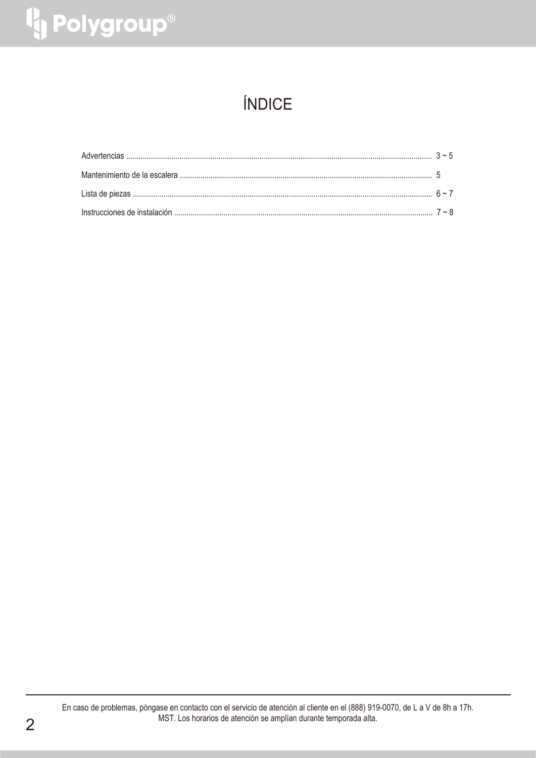# <sup>1</sup> Polygroup®

### ÍNDICE

En caso de problemas, póngase en contacto con el servicio de atención al cliente en el (888) 919-0070, de L a V de 8h a 17h. MST. Los horarios de atención se amplían durante temporada alta.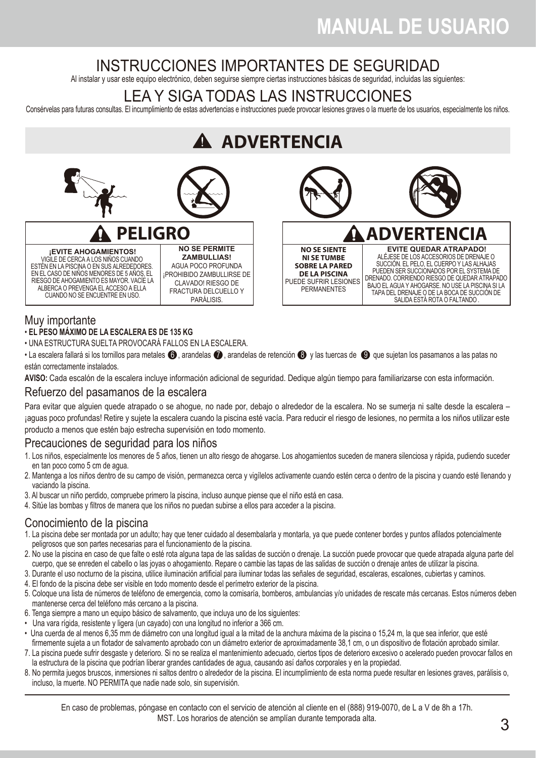### INSTRUCCIONES IMPORTANTES DE SEGURIDAD

Al instalar y usar este equipo electrónico, deben seguirse siempre ciertas instrucciones básicas de seguridad, incluidas las siguientes:

### LEA Y SIGA TODAS LAS INSTRUCCIONES

Consérvelas para futuras consultas. El incumplimiento de estas advertencias e instrucciones puede provocar lesiones graves o la muerte de los usuarios, especialmente los niños.

## **A** ADVERTENCIA



VIGILE DE CERCA A LOS NIÑOS CUANDO ESTÉN EN LA PISCINA O EN SUS ALREDEDORES. EN EL CASO DE NIÑOS MENORES DE 5 AÑOS, EL RIESGO DE AHOGAMIENTO ES MAYOR. VACÍE LA ALBERCA O PREVENGA EL ACCESO A ELLA CUANDO NO SE ENCUENTRE EN USO.



### Muy importante

- **EL PESO MÁXIMO DE LA ESCALERA ES DE 135 KG**
- UNA ESTRUCTURA SUELTA PROVOCARÁ FALLOS EN LA ESCALERA.
- La escalera fallará si los tornillos para metales  $\bigcirc$ , arandelas  $\bigcirc$ , arandelas de retención  $\bigcirc$  v las tuercas de  $\bigcirc$  que sujetan los pasamanos a las patas no están correctamente instalados.

**AVISO:** Cada escalón de la escalera incluye información adicional de seguridad. Dedique algún tiempo para familiarizarse con esta información.

### Refuerzo del pasamanos de la escalera

Para evitar que alguien quede atrapado o se ahogue, no nade por, debajo o alrededor de la escalera. No se sumerja ni salte desde la escalera – ¡aguas poco profundas! Retire y sujete la escalera cuando la piscina esté vacía. Para reducir el riesgo de lesiones, no permita a los niños utilizar este producto a menos que estén bajo estrecha supervisión en todo momento.

### Precauciones de seguridad para los niños

- 1. Los niños, especialmente los menores de 5 años, tienen un alto riesgo de ahogarse. Los ahogamientos suceden de manera silenciosa y rápida, pudiendo suceder en tan poco como 5 cm de agua.
- 2. Mantenga a los niños dentro de su campo de visión, permanezca cerca y vigílelos activamente cuando estén cerca o dentro de la piscina y cuando esté llenando y vaciando la piscina.
- 3. Al buscar un niño perdido, compruebe primero la piscina, incluso aunque piense que el niño está en casa.

CLAVADO! RIESGO DE FRACTURA DELCUELLO Y PARÁLISIS.

4. Sitúe las bombas y filtros de manera que los niños no puedan subirse a ellos para acceder a la piscina.

### Conocimiento de la piscina

- 1. La piscina debe ser montada por un adulto; hay que tener cuidado al desembalarla y montarla, ya que puede contener bordes y puntos afilados potencialmente peligrosos que son partes necesarias para el funcionamiento de la piscina.
- 2. No use la piscina en caso de que falte o esté rota alguna tapa de las salidas de succión o drenaje. La succión puede provocar que quede atrapada alguna parte del cuerpo, que se enreden el cabello o las joyas o ahogamiento. Repare o cambie las tapas de las salidas de succión o drenaje antes de utilizar la piscina.
- 3. Durante el uso nocturno de la piscina, utilice iluminación artificial para iluminar todas las señales de seguridad, escaleras, escalones, cubiertas y caminos.
- 4. El fondo de la piscina debe ser visible en todo momento desde el perímetro exterior de la piscina.
- 5. Coloque una lista de números de teléfono de emergencia, como la comisaría, bomberos, ambulancias y/o unidades de rescate más cercanas. Estos números deben mantenerse cerca del teléfono más cercano a la piscina.
- 6. Tenga siempre a mano un equipo básico de salvamento, que incluya uno de los siguientes:
- Una vara rígida, resistente y ligera (un cayado) con una longitud no inferior a 366 cm.
- Una cuerda de al menos 6,35 mm de diámetro con una longitud igual a la mitad de la anchura máxima de la piscina o 15,24 m, la que sea inferior, que esté firmemente sujeta a un flotador de salvamento aprobado con un diámetro exterior de aproximadamente 38,1 cm, o un dispositivo de flotación aprobado similar.
- 7. La piscina puede sufrir desgaste y deterioro. Si no se realiza el mantenimiento adecuado, ciertos tipos de deterioro excesivo o acelerado pueden provocar fallos en la estructura de la piscina que podrían liberar grandes cantidades de agua, causando así daños corporales y en la propiedad.
- 8. No permita juegos bruscos, inmersiones ni saltos dentro o alrededor de la piscina. El incumplimiento de esta norma puede resultar en lesiones graves, parálisis o, incluso, la muerte. NO PERMITA que nadie nade solo, sin supervisión.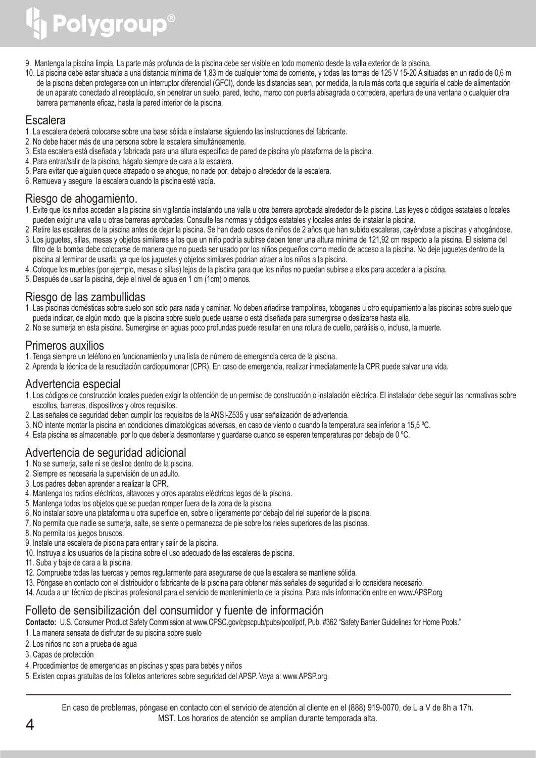# Polygroup®

- 9. Mantenga la piscina limpia. La parte más profunda de la piscina debe ser visible en todo momento desde la valla exterior de la piscina.
- 10. La piscina debe estar situada a una distancia mínima de 1,83 m de cualquier toma de corriente, y todas las tomas de 125 V 15-20 A situadas en un radio de 0,6 m de la piscina deben protegerse con un interruptor diferencial (GFCI), donde las distancias sean, por medida, la ruta más corta que seguiría el cable de alimentación de un aparato conectado al receptáculo, sin penetrar un suelo, pared, techo, marco con puerta abisagrada o corredera, apertura de una ventana o cualquier otra barrera permanente eficaz, hasta la pared interior de la piscina.

### **Escalera**

- 1. La escalera deberá colocarse sobre una base sólida e instalarse siguiendo las instrucciones del fabricante.
- 2. No debe haber más de una persona sobre la escalera simultáneamente.
- 3. Esta escalera está diseñada y fabricada para una altura específica de pared de piscina y/o plataforma de la piscina.
- 4. Para entrar/salir de la piscina, hágalo siempre de cara a la escalera.
- 5. Para evitar que alguien quede atrapado o se ahogue, no nade por, debajo o alrededor de la escalera.
- 6. Remueva y asegure la escalera cuando la piscina esté vacía.

### Riesgo de ahogamiento.

- 1. Evite que los niños accedan a la piscina sin vigilancia instalando una valla u otra barrera aprobada alrededor de la piscina. Las leyes o códigos estatales o locales pueden exigir una valla u otras barreras aprobadas. Consulte las normas y códigos estatales y locales antes de instalar la piscina.
- 2. Retire las escaleras de la piscina antes de dejar la piscina. Se han dado casos de niños de 2 años que han subido escaleras, cayéndose a piscinas y ahogándose. 3. Los juguetes, sillas, mesas y objetos similares a los que un niño podría subirse deben tener una altura mínima de 121,92 cm respecto a la piscina. El sistema del
- filtro de la bomba debe colocarse de manera que no pueda ser usado por los niños pequeños como medio de acceso a la piscina. No deje juguetes dentro de la piscina al terminar de usarla, ya que los juguetes y objetos similares podrían atraer a los niños a la piscina.
- 4. Coloque los muebles (por ejemplo, mesas o sillas) lejos de la piscina para que los niños no puedan subirse a ellos para acceder a la piscina.
- 5. Después de usar la piscina, deje el nivel de agua en 1 cm (1cm) o menos.

### Riesgo de las zambullidas

- 1. Las piscinas domésticas sobre suelo son solo para nada y caminar. No deben añadirse trampolines, toboganes u otro equipamiento a las piscinas sobre suelo que pueda indicar, de algún modo, que la piscina sobre suelo puede usarse o está diseñada para sumergirse o deslizarse hasta ella.
- 2. No se sumerja en esta piscina. Sumergirse en aguas poco profundas puede resultar en una rotura de cuello, parálisis o, incluso, la muerte.

### Primeros auxilios

- 1. Tenga siempre un teléfono en funcionamiento y una lista de número de emergencia cerca de la piscina.
- 2. Aprenda la técnica de la resucitación cardiopulmonar (CPR). En caso de emergencia, realizar inmediatamente la CPR puede salvar una vida.

### Advertencia especial

- 1. Los códigos de construcción locales pueden exigir la obtención de un permiso de construcción o instalación eléctrica. El instalador debe seguir las normativas sobre escollos, barreras, dispositivos y otros requisitos.
- 2. Las señales de seguridad deben cumplir los requisitos de la ANSI-Z535 y usar señalización de advertencia.
- 3. NO intente montar la piscina en condiciones climatológicas adversas, en caso de viento o cuando la temperatura sea inferior a 15,5 ºC.
- 4. Esta piscina es almacenable, por lo que debería desmontarse y guardarse cuando se esperen temperaturas por debajo de 0 ºC.

### Advertencia de seguridad adicional

- 1. No se sumerja, salte ni se deslice dentro de la piscina.
- 2. Siempre es necesaria la supervisión de un adulto.
- 3. Los padres deben aprender a realizar la CPR.
- 4. Mantenga los radios eléctricos, altavoces y otros aparatos eléctricos legos de la piscina.
- 5. Mantenga todos los objetos que se puedan romper fuera de la zona de la piscina.
- 6. No instalar sobre una plataforma u otra superficie en, sobre o ligeramente por debajo del riel superior de la piscina.
- 7. No permita que nadie se sumerja, salte, se siente o permanezca de pie sobre los rieles superiores de las piscinas.
- 8. No permita los juegos bruscos.
- 9. Instale una escalera de piscina para entrar y salir de la piscina.
- 10. Instruya a los usuarios de la piscina sobre el uso adecuado de las escaleras de piscina.
- 11. Suba y baje de cara a la piscina.
- 12. Compruebe todas las tuercas y pernos regularmente para asegurarse de que la escalera se mantiene sólida.
- 13. Póngase en contacto con el distribuidor o fabricante de la piscina para obtener más señales de seguridad si lo considera necesario.
- 14. Acuda a un técnico de piscinas profesional para el servicio de mantenimiento de la piscina. Para más información entre en www.APSP.org

### Folleto de sensibilización del consumidor y fuente de información

**Contacto:** U.S. Consumer Product Safety Commission at www.CPSC.gov/cpscpub/pubs/pool/pdf, Pub. #362 "Safety Barrier Guidelines for Home Pools."

- 1. La manera sensata de disfrutar de su piscina sobre suelo
- 2. Los niños no son a prueba de agua
- 3. Capas de protección
- 4. Procedimientos de emergencias en piscinas y spas para bebés y niños
- 5. Existen copias gratuitas de los folletos anteriores sobre seguridad del APSP. Vaya a: www.APSP.org.

En caso de problemas, póngase en contacto con el servicio de atención al cliente en el (888) 919-0070, de L a V de 8h a 17h. MST. Los horarios de atención se amplían durante temporada alta.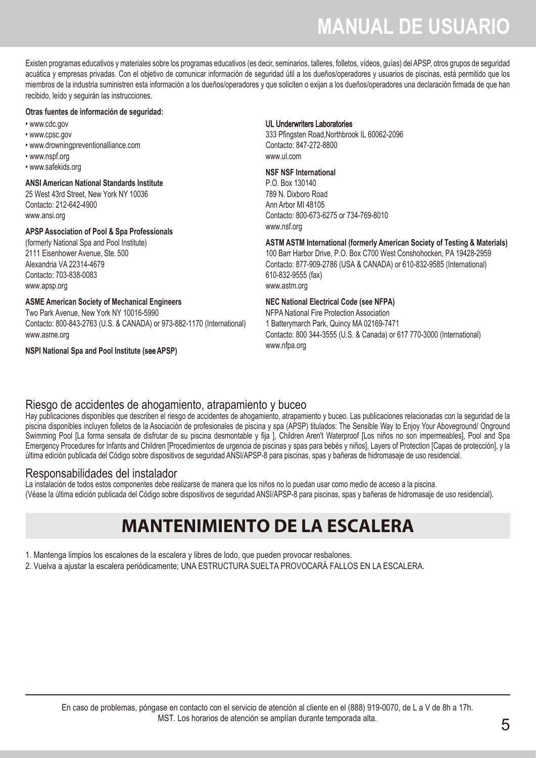Existen programas educativos y materiales sobre los programas educativos (es decir, seminarios, talleres, folletos, vídeos, guías) del APSP, otros grupos de seguridad acuática y empresas privadas. Con el objetivo de comunicar información de seguridad útil a los dueños/operadores y usuarios de piscinas, está permitido que los miembros de la industria suministren esta información a los dueños/operadores y que soliciten o exijan a los dueños/operadores una declaración firmada de que han recibido, leído y seguirán las instrucciones.

#### **Otras fuentes de información de seguridad:**

- www.cdc.gov
- www.cpsc.gov
- www.drowningpreventionalliance.com
- www.nspf.org
- www.safekids.org

#### **ANSI American National Standards Institute**

25 West 43rd Street, New York NY 10036 Contacto: 212-642-4900 www.ansi.org

#### **APSP Association of Pool & Spa Professionals**

(formerly National Spa and Pool Institute) 2111 Eisenhower Avenue, Ste. 500 Alexandria VA 22314-4679 Contacto: 703-838-0083 www.apsp.org

#### **ASME American Society of Mechanical Engineers**

Two Park Avenue, New York NY 10016-5990 Contacto: 800-843-2763 (U.S. & CANADA) or 973-882-1170 (International) www.asme.org

#### **NSPI National Spa and Pool Institute (s**ee**APSP)**

#### UL Underwriters Laboratories

333 Pfingsten Road,Northbrook IL 60062-2096 Contacto: 847-272-8800 www.ul.com

#### **NSF NSF International**

P.O. Box 130140 789 N. Dixboro Road Ann Arbor MI 48105 Contacto: 800-673-6275 or 734-769-8010 www.nsf.org

#### **ASTM ASTM International (formerly American Society of Testing & Materials)**

100 Barr Harbor Drive, P.O. Box C700 West Conshohocken, PA 19428-2959 Contacto: 877-909-2786 (USA & CANADA) or 610-832-9585 (International) 610-832-9555 (fax) www.astm.org

#### **NEC National Electrical Code (see NFPA)**

NFPA National Fire Protection Association 1 Batterymarch Park, Quincy MA 02169-7471 Contacto: 800 344-3555 (U.S. & Canada) or 617 770-3000 (International) www.nfpa.org

### Riesgo de accidentes de ahogamiento, atrapamiento y buceo

Hay publicaciones disponibles que describen el riesgo de accidentes de ahogamiento, atrapamiento y buceo. Las publicaciones relacionadas con la seguridad de la piscina disponibles incluyen folletos de la Asociación de profesionales de piscina y spa (APSP) titulados: The Sensible Way to Enjoy Your Aboveground/ Onground Swimming Pool [La forma sensata de disfrutar de su piscina desmontable y fija ], Children Aren't Waterproof [Los niños no son impermeables], Pool and Spa Emergency Procedures for Infants and Children [Procedimientos de urgencia de piscinas y spas para bebés y niños], Layers of Protection [Capas de protección], y la última edición publicada del Código sobre dispositivos de seguridad ANSI/APSP-8 para piscinas, spas y bañeras de hidromasaje de uso residencial.

#### Responsabilidades del instalador

La instalación de todos estos componentes debe realizarse de manera que los niños no lo puedan usar como medio de acceso a la piscina. (Véase la última edición publicada del Código sobre dispositivos de seguridad ANSI/APSP-8 para piscinas, spas y bañeras de hidromasaje de uso residencial).

### **MANTENIMIENTO DE LA ESCALERA**

1. Mantenga limpios los escalones de la escalera y libres de lodo, que pueden provocar resbalones.

2. Vuelva a ajustar la escalera periódicamente; UNA ESTRUCTURA SUELTA PROVOCARÁ FALLOS EN LA ESCALERA.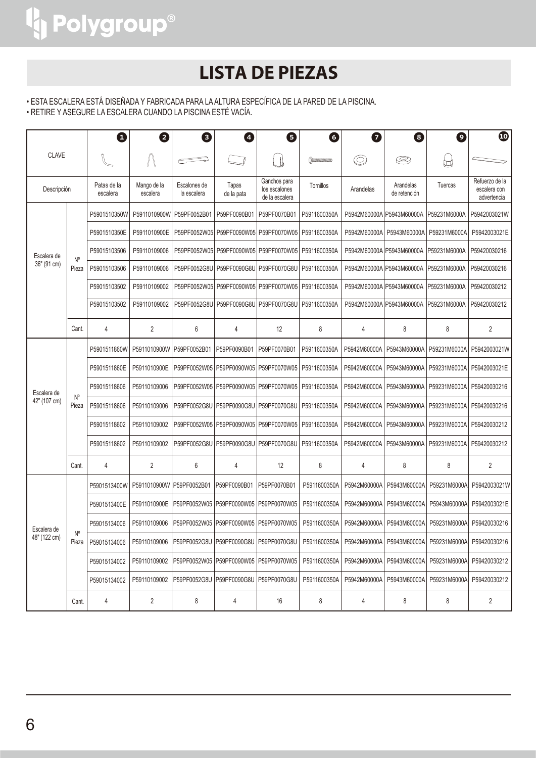### **LISTA DE PIEZAS**

• ESTA ESCALERA ESTÁ DISEÑADA Y FABRICADA PARA LA ALTURA ESPECÍFICA DE LA PARED DE LA PISCINA.

• RETIRE Y ASEGURE LA ESCALERA CUANDO LA PISCINA ESTÉ VACÍA.

| <b>CLAVE</b>                |                                  | ❶                       | 2                       | €                           | Ø                                         | 0                                               | 6            | 0              | 8                         | $\bullet$    | $\boldsymbol{\Phi}$                           |              |              |              |              |
|-----------------------------|----------------------------------|-------------------------|-------------------------|-----------------------------|-------------------------------------------|-------------------------------------------------|--------------|----------------|---------------------------|--------------|-----------------------------------------------|--------------|--------------|--------------|--------------|
|                             |                                  |                         |                         |                             |                                           |                                                 |              | $\circledcirc$ | S                         | ₩            |                                               |              |              |              |              |
| Descripción                 |                                  | Patas de la<br>escalera | Mango de la<br>escalera | Escalones de<br>la escalera | Tapas<br>de la pata                       | Ganchos para<br>los escalones<br>de la escalera | Tornillos    | Arandelas      | Arandelas<br>de retención | Tuercas      | Refuerzo de la<br>escalera con<br>advertencia |              |              |              |              |
|                             |                                  | P5901510350W            | P5911010900W            | P59PF0052B01                | P59PF0090B01                              | P59PF0070B01                                    | P5911600350A |                | P5942M60000A P5943M60000A | P59231M6000A | P5942003021W                                  |              |              |              |              |
|                             |                                  | P5901510350E            | P5911010900E            | P59PF0052W05                | P59PF0090W05                              | P59PF0070W05                                    | P5911600350A | P5942M60000A   | P5943M60000A              | P59231M6000A | P5942003021E                                  |              |              |              |              |
| Escalera de                 |                                  | P59015103506            | P59110109006            |                             |                                           | P59PF0052W05   P59PF0090W05   P59PF0070W05      | P5911600350A |                | P5942M60000A P5943M60000A | P59231M6000A | P59420030216                                  |              |              |              |              |
| 36" (91 cm)                 | N°<br>Pieza                      | P59015103506            | P59110109006            | P59PF0052G8U                | P59PF0090G8U                              | P59PF0070G8U                                    | P5911600350A |                | P5942M60000AlP5943M60000A | P59231M6000A | P59420030216                                  |              |              |              |              |
|                             |                                  | P59015103502            | P59110109002            | P59PF0052W05                | P59PF0090W05                              | P59PF0070W05                                    | P5911600350A |                | P5942M60000A P5943M60000A | P59231M6000A | P59420030212                                  |              |              |              |              |
|                             |                                  | P59015103502            | P59110109002            | P59PF0052G8U                | P59PF0090G8U                              | P59PF0070G8U                                    | P5911600350A |                | P5942M60000AlP5943M60000A | P59231M6000A | P59420030212                                  |              |              |              |              |
|                             | Cant.                            | 4                       | 2                       | 6                           | 4                                         | 12                                              | 8            | 4              | 8                         | 8            | 2                                             |              |              |              |              |
|                             | $N^{\circ}$<br>Pieza             | P5901511860W            | P5911010900W            | P59PF0052B01                | P59PF0090B01                              | P59PF0070B01                                    | P5911600350A | P5942M60000A   | P5943M60000A              | P59231M6000A | P5942003021W                                  |              |              |              |              |
|                             |                                  | P5901511860E            | P5911010900E            | P59PF0052W05                | P59PF0090W05                              | P59PF0070W05                                    | P5911600350A | P5942M60000A   | P5943M60000A              | P59231M6000A | P5942003021E                                  |              |              |              |              |
| Escalera de                 |                                  | P59015118606            | P59110109006            | P59PF0052W05                | P59PF0090W05                              | P59PF0070W05                                    | P5911600350A | P5942M60000A   | P5943M60000A              | P59231M6000A | P59420030216                                  |              |              |              |              |
| 42" (107 cm)                |                                  | P59015118606            | P59110109006            | P59PF0052G8U                | P59PF0090G8U                              | P59PF0070G8U                                    | P5911600350A | P5942M60000A   | P5943M60000A              | P59231M6000A | P59420030216                                  |              |              |              |              |
|                             |                                  | P59015118602            | P59110109002            | P59PF0052W05                | P59PF0090W05                              | P59PF0070W05                                    | P5911600350A | P5942M60000A   | P5943M60000A              | P59231M6000A | P59420030212                                  |              |              |              |              |
|                             |                                  | P59015118602            | P59110109002            | P59PF0052G8U                | P59PF0090G8U                              | P59PF0070G8U                                    | P5911600350A | P5942M60000A   | P5943M60000A              | P59231M6000A | P59420030212                                  |              |              |              |              |
|                             | Cant.                            | 4                       | $\overline{2}$          | 6                           | 4                                         | 12                                              | 8            | 4              | 8                         | 8            | 2                                             |              |              |              |              |
|                             |                                  |                         |                         |                             | P5901513400W                              | P5911010900W                                    | P59PF0052B01 | P59PF0090B01   | P59PF0070B01              | P5911600350A | P5942M60000A                                  | P5943M60000A | P59231M6000A | P5942003021W |              |
|                             |                                  |                         |                         |                             |                                           |                                                 |              |                |                           | P5901513400E | P5911010900E                                  | P59PF0052W05 | P59PF0090W05 | P59PF0070W05 | P5911600350A |
| Escalera de<br>48" (122 cm) |                                  | P59015134006            | P59110109006            | P59PF0052W05                | P59PF0090W05                              | P59PF0070W05                                    | P5911600350A | P5942M60000A   | P5943M60000A              | P59231M6000A | P59420030216                                  |              |              |              |              |
|                             | $\mathsf{N}^\mathsf{o}$<br>Pieza | P59015134006            | P59110109006            |                             | IP59PF0052G8U IP59PF0090G8U IP59PF0070G8U |                                                 | P5911600350A | P5942M60000A   | P5943M60000A              | P59231M6000A | P59420030216                                  |              |              |              |              |
|                             |                                  | P59015134002            | P59110109002            |                             |                                           |                                                 | P5911600350A | P5942M60000A   | P5943M60000A              | P59231M6000A | P59420030212                                  |              |              |              |              |
|                             |                                  | P59015134002            | P59110109002            |                             | IP59PF0052G8U IP59PF0090G8U IP59PF0070G8U |                                                 | P5911600350A | P5942M60000A   | P5943M60000A              | P59231M6000A | P59420030212                                  |              |              |              |              |
|                             | Cant.                            | 4                       | 2                       | 8                           | 4                                         | 16                                              | 8            | 4              | 8                         | 8            | $\overline{\mathbf{c}}$                       |              |              |              |              |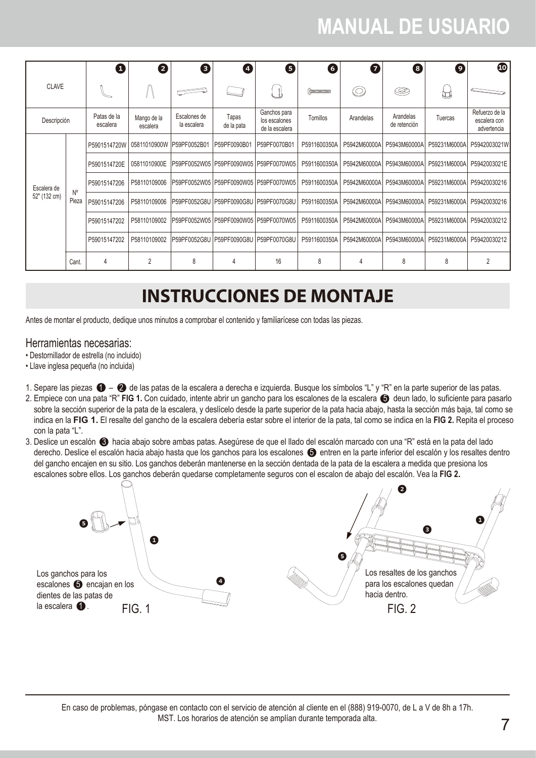|              |                      | O                       | 2                          | €                                         | $\boldsymbol{A}$    | 0                                               | 6            | 0              | 8                         | 0            | $\bf \Phi$                                    |  |              |              |  |  |                                           |              |              |              |              |              |
|--------------|----------------------|-------------------------|----------------------------|-------------------------------------------|---------------------|-------------------------------------------------|--------------|----------------|---------------------------|--------------|-----------------------------------------------|--|--------------|--------------|--|--|-------------------------------------------|--------------|--------------|--------------|--------------|--------------|
| <b>CLAVE</b> |                      |                         |                            |                                           |                     |                                                 |              | $\circledcirc$ | ☺                         | U            |                                               |  |              |              |  |  |                                           |              |              |              |              |              |
| Descripción  |                      | Patas de la<br>escalera | Mango de la<br>escalera    | Escalones de<br>la escalera               | Tapas<br>de la pata | Ganchos para<br>los escalones<br>de la escalera | Tornillos    | Arandelas      | Arandelas<br>de retención | Tuercas      | Refuerzo de la<br>escalera con<br>advertencia |  |              |              |  |  |                                           |              |              |              |              |              |
|              | $N^{\circ}$<br>Pieza | P5901514720W            | 05811010900W IP59PF0052B01 |                                           | P59PF0090B01        | P59PF0070B01                                    | P5911600350A | P5942M60000A   | P5943M60000A              | P59231M6000A | P5942003021W                                  |  |              |              |  |  |                                           |              |              |              |              |              |
|              |                      | P5901514720E            | 05811010900E               |                                           |                     | P59PF0052W05 IP59PF0090W05 IP59PF0070W05        | P5911600350A | P5942M60000A   | P5943M60000A              | P59231M6000A | P5942003021E                                  |  |              |              |  |  |                                           |              |              |              |              |              |
| Escalera de  |                      | P59015147206            | P58110109006               | IP59PF0052W05 IP59PF0090W05 IP59PF0070W05 |                     |                                                 | P5911600350A | P5942M60000A   | P5943M60000A              | P59231M6000A | P59420030216                                  |  |              |              |  |  |                                           |              |              |              |              |              |
| 52" (132 cm) |                      | P59015147206            | P58110109006               | IP59PF0052G8U IP59PF0090G8U IP59PF0070G8U |                     |                                                 | P5911600350A | P5942M60000A   | P5943M60000A              | P59231M6000A | P59420030216                                  |  |              |              |  |  |                                           |              |              |              |              |              |
|              |                      |                         |                            |                                           |                     |                                                 |              |                |                           |              |                                               |  | P59015147202 | P58110109002 |  |  | IP59PF0052W05 IP59PF0090W05 IP59PF0070W05 | P5911600350A | P5942M60000A | P5943M60000A | P59231M6000A | P59420030212 |
|              |                      | P59015147202            | P58110109002               | IP59PF0052G8U IP59PF0090G8U IP59PF0070G8U |                     |                                                 | P5911600350A | P5942M60000A   | P5943M60000A              | P59231M6000A | P59420030212                                  |  |              |              |  |  |                                           |              |              |              |              |              |
|              | Cant.                | 4                       | $\overline{2}$             | 8                                         | 4                   | 16                                              | 8            | 4              | 8                         | 8            | $\overline{2}$                                |  |              |              |  |  |                                           |              |              |              |              |              |

### **INSTRUCCIONES DE MONTAJE**

Antes de montar el producto, dedique unos minutos a comprobar el contenido y familiarícese con todas las piezas.

### Herramientas necesarias:

- Destornillador de estrella (no incluido)
- Llave inglesa pequeña (no incluida)
- 1. Separe las piezas  $\bigcirc$   $\bigcirc$  de las patas de la escalera a derecha e izquierda. Busque los símbolos "L" y "R" en la parte superior de las patas.
- 2. Empiece con una pata "R" FIG 1. Con cuidado, intente abrir un gancho para los escalones de la escalera  $\bigoplus$  deun lado, lo suficiente para pasarlo sobre la sección superior de la pata de la escalera, y deslícelo desde la parte superior de la pata hacia abajo, hasta la sección más baja, tal como se indica en la **FIG 1.** El resalte del gancho de la escalera debería estar sobre el interior de la pata, tal como se indica en la **FIG 2.** Repita el proceso con la pata "L".
- 3. Deslice un escalón 3 hacia abajo sobre ambas patas. Asegúrese de que el llado del escalón marcado con una "R" está en la pata del lado derecho. Deslice el escalón hacia abajo hasta que los ganchos para los escalones  $\bigodot$  entren en la parte inferior del escalón y los resaltes dentro del gancho encajen en su sitio. Los ganchos deberán mantenerse en la sección dentada de la pata de la escalera a medida que presiona los escalones sobre ellos. Los ganchos deberán quedarse completamente seguros con el escalon de abajo del escalón. Vea la **FIG 2.**